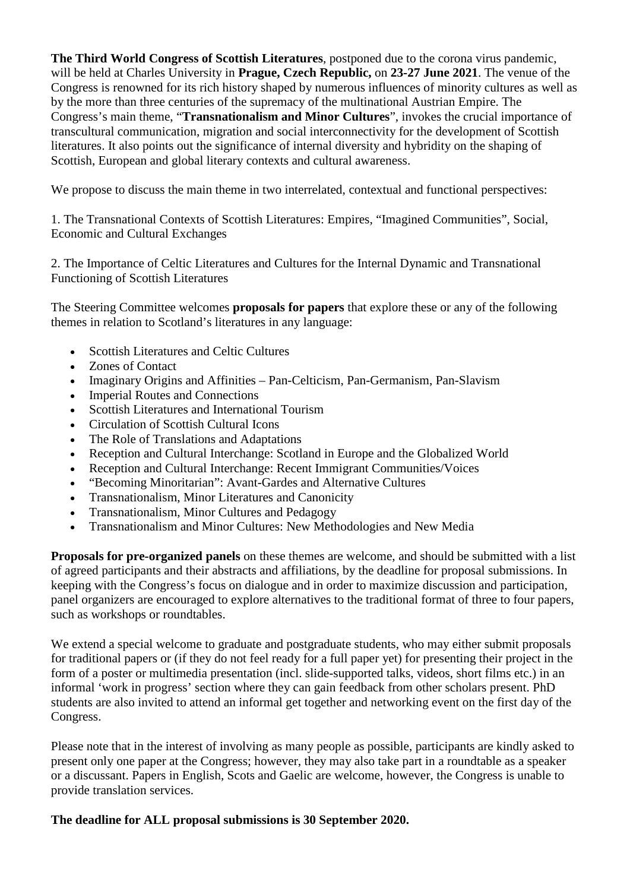**The Third World Congress of Scottish Literatures**, postponed due to the corona virus pandemic, will be held at Charles University in **Prague, Czech Republic,** on **23-27 June 2021**. The venue of the Congress is renowned for its rich history shaped by numerous influences of minority cultures as well as by the more than three centuries of the supremacy of the multinational Austrian Empire. The Congress's main theme, "**Transnationalism and Minor Cultures**", invokes the crucial importance of transcultural communication, migration and social interconnectivity for the development of Scottish literatures. It also points out the significance of internal diversity and hybridity on the shaping of Scottish, European and global literary contexts and cultural awareness.

We propose to discuss the main theme in two interrelated, contextual and functional perspectives:

1. The Transnational Contexts of Scottish Literatures: Empires, "Imagined Communities", Social, Economic and Cultural Exchanges

2. The Importance of Celtic Literatures and Cultures for the Internal Dynamic and Transnational Functioning of Scottish Literatures

The Steering Committee welcomes **proposals for papers** that explore these or any of the following themes in relation to Scotland's literatures in any language:

- Scottish Literatures and Celtic Cultures
- Zones of Contact
- Imaginary Origins and Affinities Pan-Celticism, Pan-Germanism, Pan-Slavism
- Imperial Routes and Connections
- Scottish Literatures and International Tourism
- Circulation of Scottish Cultural Icons
- The Role of Translations and Adaptations
- Reception and Cultural Interchange: Scotland in Europe and the Globalized World
- Reception and Cultural Interchange: Recent Immigrant Communities/Voices
- "Becoming Minoritarian": Avant-Gardes and Alternative Cultures
- Transnationalism, Minor Literatures and Canonicity
- Transnationalism, Minor Cultures and Pedagogy
- Transnationalism and Minor Cultures: New Methodologies and New Media

**Proposals for pre-organized panels** on these themes are welcome, and should be submitted with a list of agreed participants and their abstracts and affiliations, by the deadline for proposal submissions. In keeping with the Congress's focus on dialogue and in order to maximize discussion and participation, panel organizers are encouraged to explore alternatives to the traditional format of three to four papers, such as workshops or roundtables.

We extend a special welcome to graduate and postgraduate students, who may either submit proposals for traditional papers or (if they do not feel ready for a full paper yet) for presenting their project in the form of a poster or multimedia presentation (incl. slide-supported talks, videos, short films etc.) in an informal 'work in progress' section where they can gain feedback from other scholars present. PhD students are also invited to attend an informal get together and networking event on the first day of the Congress.

Please note that in the interest of involving as many people as possible, participants are kindly asked to present only one paper at the Congress; however, they may also take part in a roundtable as a speaker or a discussant. Papers in English, Scots and Gaelic are welcome, however, the Congress is unable to provide translation services.

## **The deadline for ALL proposal submissions is 30 September 2020.**